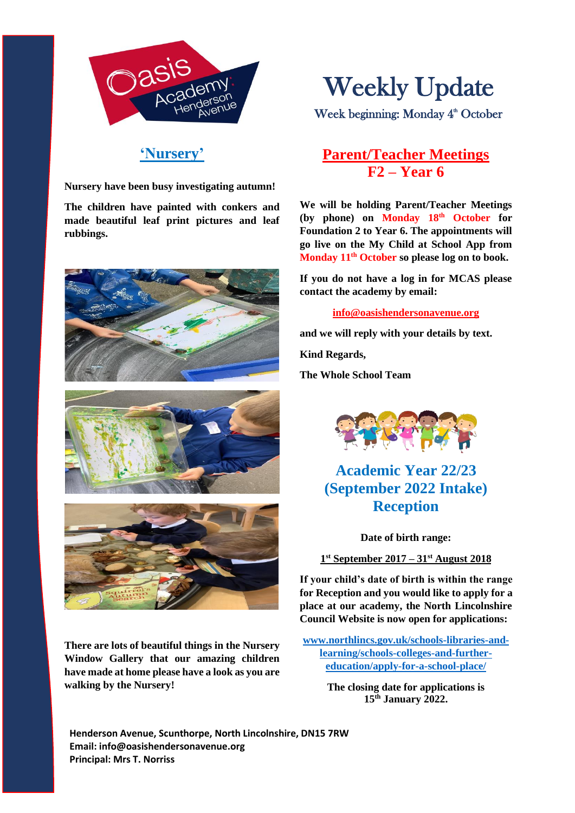

**'Nursery'**

**Nursery have been busy investigating autumn!**

**The children have painted with conkers and made beautiful leaf print pictures and leaf rubbings.**







**There are lots of beautiful things in the Nursery Window Gallery that our amazing children have made at home please have a look as you are walking by the Nursery!**

# Weekly Update

Week beginning: Monday 4<sup>th</sup> October

## **Parent/Teacher Meetings F2 – Year 6**

 **go live on the My Child at School App from We will be holding Parent/Teacher Meetings (by phone) on Monday 18th October for Foundation 2 to Year 6. The appointments will Monday 11th October so please log on to book.** 

**If you do not have a log in for MCAS please contact the academy by email:**

**[info@oasishendersonavenue.org](mailto:info@oasishendersonavenue.org)**

**and we will reply with your details by text.** 

**Kind Regards,** 

**The Whole School Team**



**Academic Year 22/23 (September 2022 Intake) Reception**

**Date of birth range:**

**1 st September 2017 – 31st August 2018**

**If your child's date of birth is within the range for Reception and you would like to apply for a place at our academy, the North Lincolnshire Council Website is now open for applications:**

**[www.northlincs.gov.uk/schools-libraries-and](http://www.northlincs.gov.uk/schools-libraries-and-learning/schools-colleges-and-further-education/apply-for-a-school-place/)[learning/schools-colleges-and-further](http://www.northlincs.gov.uk/schools-libraries-and-learning/schools-colleges-and-further-education/apply-for-a-school-place/)[education/apply-for-a-school-place/](http://www.northlincs.gov.uk/schools-libraries-and-learning/schools-colleges-and-further-education/apply-for-a-school-place/)**

> **The closing date for applications is 15th January 2022.**

**Henderson Avenue, Scunthorpe, North Lincolnshire, DN15 7RW Email: info@oasishendersonavenue.org Principal: Mrs T. Norriss**